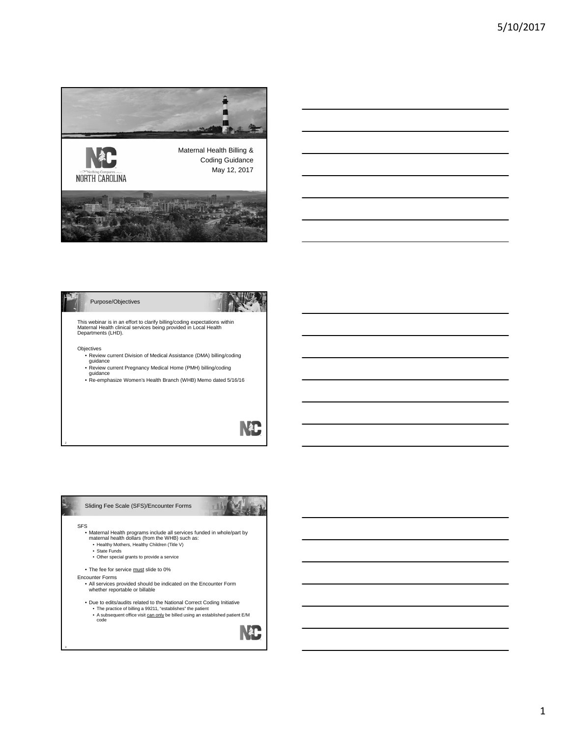





This webinar is in an effort to clarify billing/coding expectations within Maternal Health clinical services being provided in Local Health Departments (LHD).

3

- Objectives Review current Division of Medical Assistance (DMA) billing/coding
- guidance Review current Pregnancy Medical Home (PMH) billing/coding guidance Re-emphasize Women's Health Branch (WHB) Memo dated 5/16/16
- 

 $\mathbf{R}^*$ 

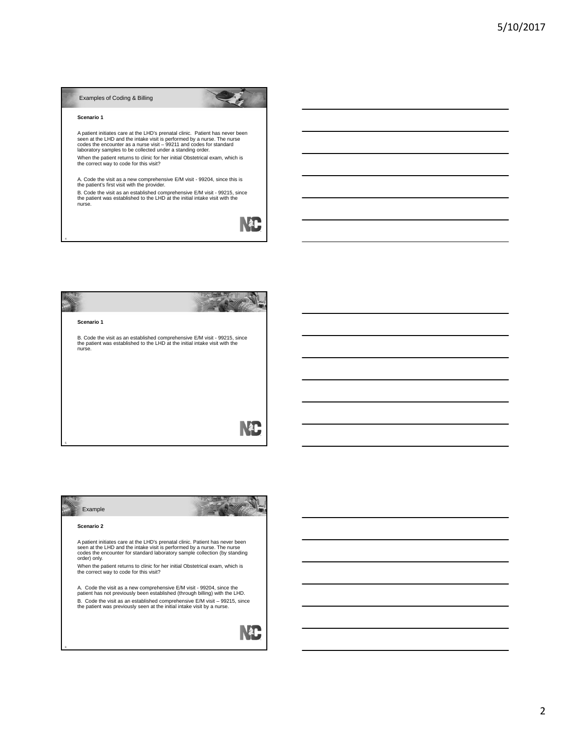#### Examples of Coding & Billing

#### **Scenario 1**

4

A patient initiates care at the LHD's prenatal clinic. Patient has never been<br>seen at the LHD and the intake visit is performed by a nurse. The nurse<br>codes the encounter as a nurse visit – 99211 and codes for standard<br>labo

When the patient returns to clinic for her initial Obstetrical exam, which is the correct way to code for this visit?

A. Code the visit as a new comprehensive E/M visit - 99204, since this is the patient's first visit with the provider.

B. Code the visit as an established comprehensive E/M visit - 99215, since the patient was established to the LHD at the initial intake visit with the nurse.

NC



| Example                                                                                                                                                                                                                                                |  |  |
|--------------------------------------------------------------------------------------------------------------------------------------------------------------------------------------------------------------------------------------------------------|--|--|
| Scenario 2                                                                                                                                                                                                                                             |  |  |
| A patient initiates care at the LHD's prenatal clinic. Patient has never been<br>seen at the LHD and the intake visit is performed by a nurse. The nurse<br>codes the encounter for standard laboratory sample collection (by standing<br>order) only. |  |  |
| When the patient returns to clinic for her initial Obstetrical exam, which is<br>the correct way to code for this visit?                                                                                                                               |  |  |
| A. Code the visit as a new comprehensive E/M visit - 99204, since the<br>patient has not previously been established (through billing) with the LHD.                                                                                                   |  |  |
| B. Code the visit as an established comprehensive E/M visit - 99215, since<br>the patient was previously seen at the initial intake visit by a nurse.                                                                                                  |  |  |
|                                                                                                                                                                                                                                                        |  |  |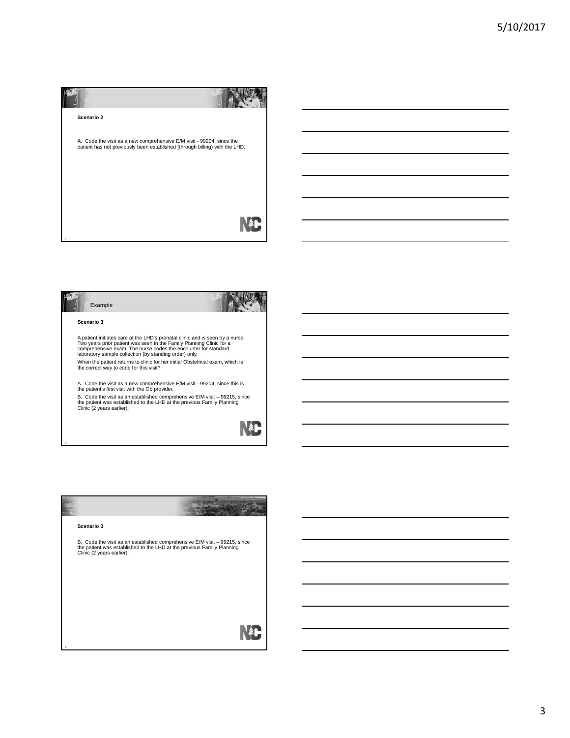| Scenario 2                                                                                                                                           |  |
|------------------------------------------------------------------------------------------------------------------------------------------------------|--|
| A. Code the visit as a new comprehensive E/M visit - 99204, since the<br>patient has not previously been established (through billing) with the LHD. |  |
|                                                                                                                                                      |  |
|                                                                                                                                                      |  |

| Example                                                                                                                                                                                                                                                                           |  |
|-----------------------------------------------------------------------------------------------------------------------------------------------------------------------------------------------------------------------------------------------------------------------------------|--|
| Scenario 3                                                                                                                                                                                                                                                                        |  |
| A patient initiates care at the LHD's prenatal clinic and is seen by a nurse.<br>Two years prior patient was seen in the Family Planning Clinic for a<br>comprehensive exam. The nurse codes the encounter for standard<br>laboratory sample collection (by standing order) only. |  |
| When the patient returns to clinic for her initial Obstetrical exam, which is<br>the correct way to code for this visit?                                                                                                                                                          |  |
| A. Code the visit as a new comprehensive E/M visit - 99204, since this is<br>the patient's first visit with the Ob provider.                                                                                                                                                      |  |
| B. Code the visit as an established comprehensive E/M visit - 99215, since<br>the patient was established to the LHD at the previous Family Planning<br>Clinic (2 years earlier).                                                                                                 |  |
|                                                                                                                                                                                                                                                                                   |  |

| Scenario 3                                                                                                                                                                        |
|-----------------------------------------------------------------------------------------------------------------------------------------------------------------------------------|
| B. Code the visit as an established comprehensive E/M visit - 99215, since<br>the patient was established to the LHD at the previous Family Planning<br>Clinic (2 years earlier). |
|                                                                                                                                                                                   |
|                                                                                                                                                                                   |
|                                                                                                                                                                                   |
|                                                                                                                                                                                   |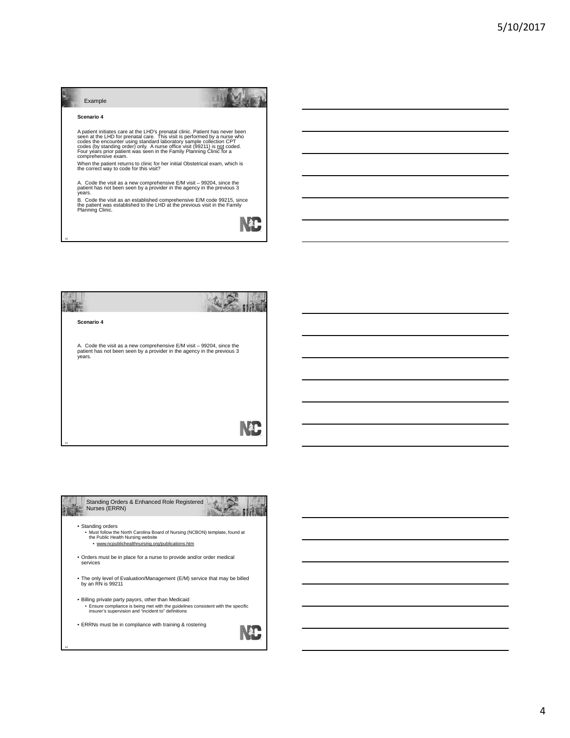| Example                                                                                                                                                                                                                                                                                                                                                                                                         |  |
|-----------------------------------------------------------------------------------------------------------------------------------------------------------------------------------------------------------------------------------------------------------------------------------------------------------------------------------------------------------------------------------------------------------------|--|
| Scenario 4                                                                                                                                                                                                                                                                                                                                                                                                      |  |
| A patient initiates care at the LHD's prenatal clinic. Patient has never been<br>seen at the LHD for prenatal care. This visit is performed by a nurse who<br>codes the encounter using standard laboratory sample collection CPT<br>codes (by standing order) only. A nurse office visit (99211) is not coded.<br>Four years prior patient was seen in the Family Planning Clinic for a<br>comprehensive exam. |  |
| When the patient returns to clinic for her initial Obstetrical exam, which is<br>the correct way to code for this visit?                                                                                                                                                                                                                                                                                        |  |
| A. Code the visit as a new comprehensive E/M visit – 99204, since the<br>patient has not been seen by a provider in the agency in the previous 3<br>years.                                                                                                                                                                                                                                                      |  |
| B. Code the visit as an established comprehensive E/M code 99215, since<br>the patient was established to the LHD at the previous visit in the Family<br>Planning Clinic.                                                                                                                                                                                                                                       |  |
|                                                                                                                                                                                                                                                                                                                                                                                                                 |  |

 $\sim$   $\sim$   $\sim$   $\sim$   $\sim$ 

Í.



10

n



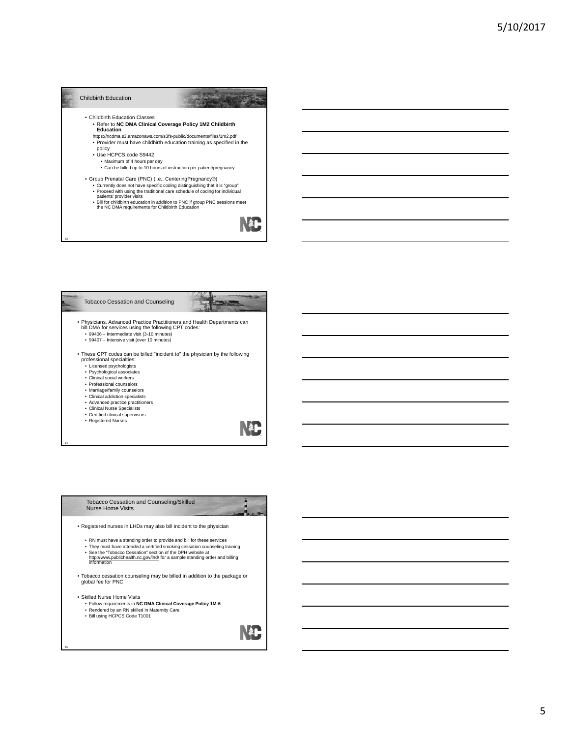





- Rendered by an RN skilled in Maternity Care
- Bill using HCPCS Code T1001

NL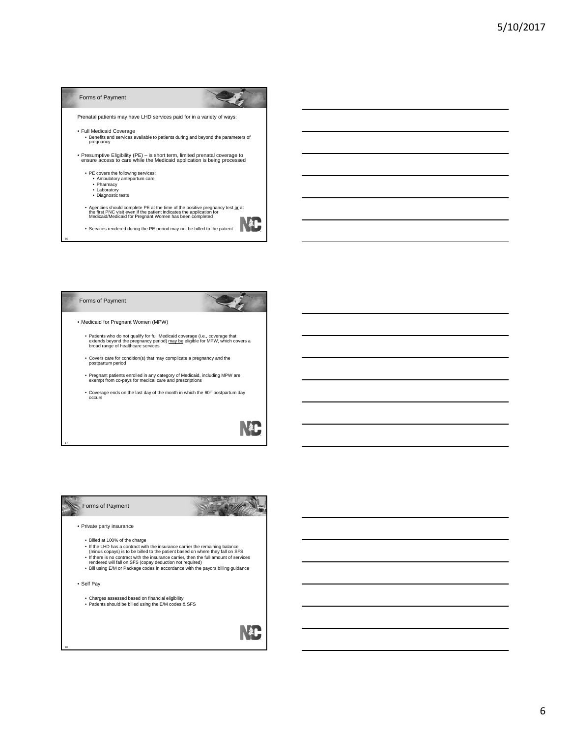

#### Forms of Payment

• Medicaid for Pregnant Women (MPW)

- Patients who do not qualify for full Medicaid coverage (i.e., coverage that<br>extends beyond the pregnancy period) <u>may be</u> eligible for MPW, which covers a<br>broad range of healthcare services
- Covers care for condition(s) that may complicate a pregnancy and the postpartum period
- Pregnant patients enrolled in any category of Medicaid, including MPW are exempt from co-pays for medical care and prescriptions
- Coverage ends on the last day of the month in which the  $60<sup>th</sup>$  postpartum day occurs



**Allen** 

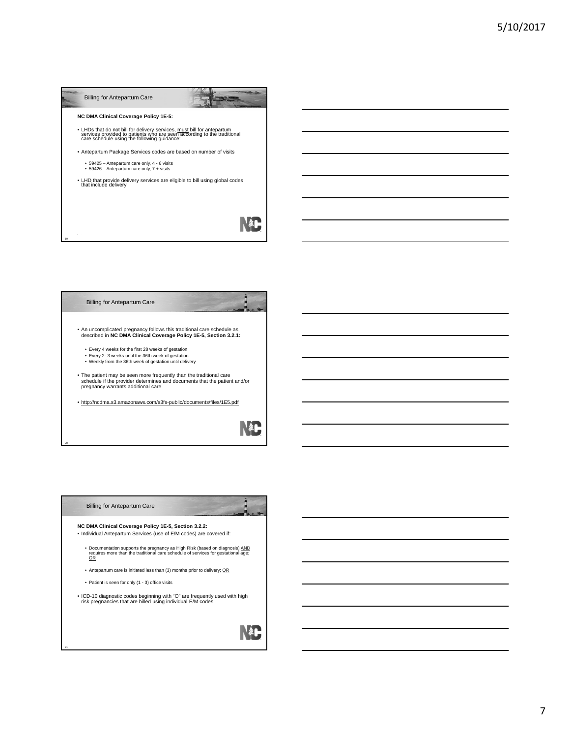| <b>Billing for Antepartum Care</b>                                                                                                                                                                |  |
|---------------------------------------------------------------------------------------------------------------------------------------------------------------------------------------------------|--|
| <b>NC DMA Clinical Coverage Policy 1E-5:</b>                                                                                                                                                      |  |
| • LHDs that do not bill for delivery services, must bill for antepartum<br>services provided to patients who are seen according to the traditional<br>care schedule using the following guidance: |  |
| • Antepartum Package Services codes are based on number of visits                                                                                                                                 |  |
| • 59425 - Antepartum care only, 4 - 6 visits<br>• 59426 - Antepartum care only, 7 + visits                                                                                                        |  |
| . LHD that provide delivery services are eligible to bill using global codes<br>that include delivery                                                                                             |  |
|                                                                                                                                                                                                   |  |
|                                                                                                                                                                                                   |  |



| <b>Billing for Antepartum Care</b>                                                                                                                                       |  |
|--------------------------------------------------------------------------------------------------------------------------------------------------------------------------|--|
| NC DMA Clinical Coverage Policy 1E-5, Section 3.2.2:                                                                                                                     |  |
| . Individual Antepartum Services (use of E/M codes) are covered if:                                                                                                      |  |
| • Documentation supports the pregnancy as High Risk (based on diagnosis) AND<br>requires more than the traditional care schedule of services for gestational age;<br>OR. |  |
| • Antepartum care is initiated less than (3) months prior to delivery; OR                                                                                                |  |
| • Patient is seen for only (1 - 3) office visits                                                                                                                         |  |
| • ICD-10 diagnostic codes beginning with "O" are frequently used with high<br>risk pregnancies that are billed using individual E/M codes                                |  |
|                                                                                                                                                                          |  |
|                                                                                                                                                                          |  |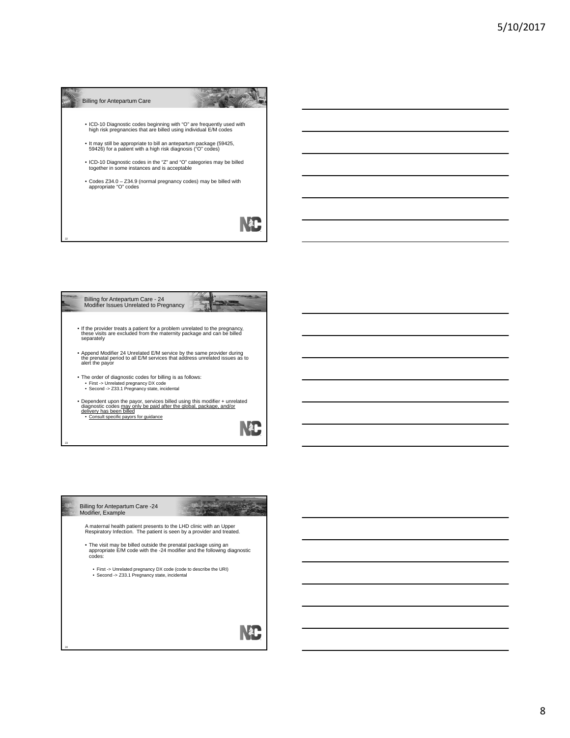



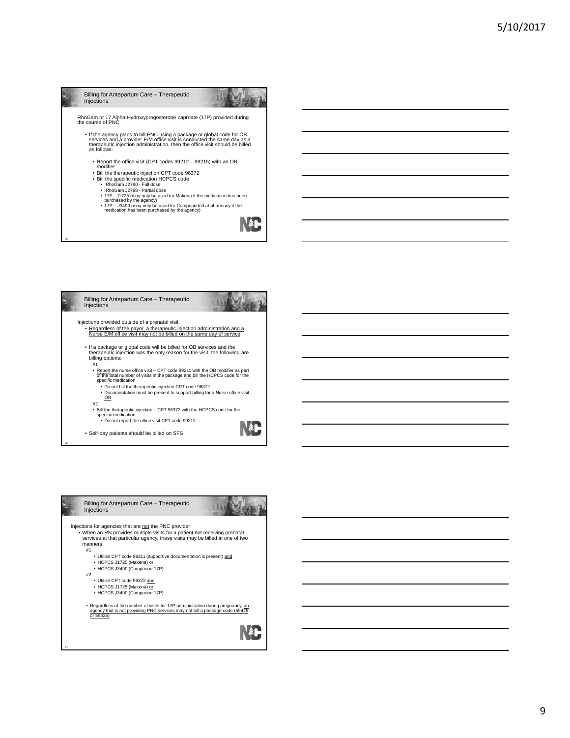



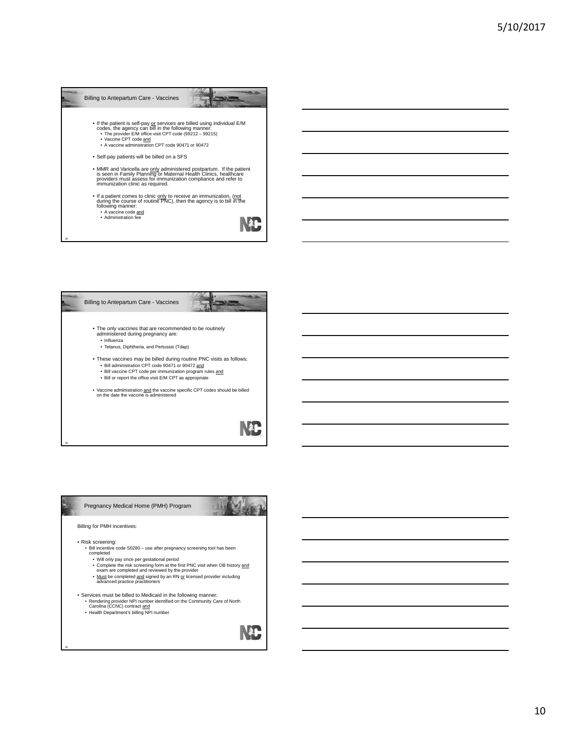| Billing to Antepartum Care - Vaccines                                                                                                                                                                                                                                    |
|--------------------------------------------------------------------------------------------------------------------------------------------------------------------------------------------------------------------------------------------------------------------------|
| • If the patient is self-pay or services are billed using individual E/M codes, the agency can bill in the following manner:<br>• The provider E/M office visit CPT code (99212 - 99215)<br>• Vaccine CPT code and<br>. A vaccine administration CPT code 90471 or 90472 |
| • Self-pay patients will be billed on a SFS                                                                                                                                                                                                                              |
| . MMR and Varicella are only administered postpartum. If the patient<br>is seen in Family Planning or Maternal Health Clinics, healthcare<br>providers must assess for immunization compliance and refer to<br>immunization clinic as required.                          |
| . If a patient comes to clinic only to receive an immunization, (not<br>during the course of routine PNC), then the agency is to bill in the<br>following manner:<br>• A vaccine code and<br>• Administration fee                                                        |
| <b>28</b>                                                                                                                                                                                                                                                                |



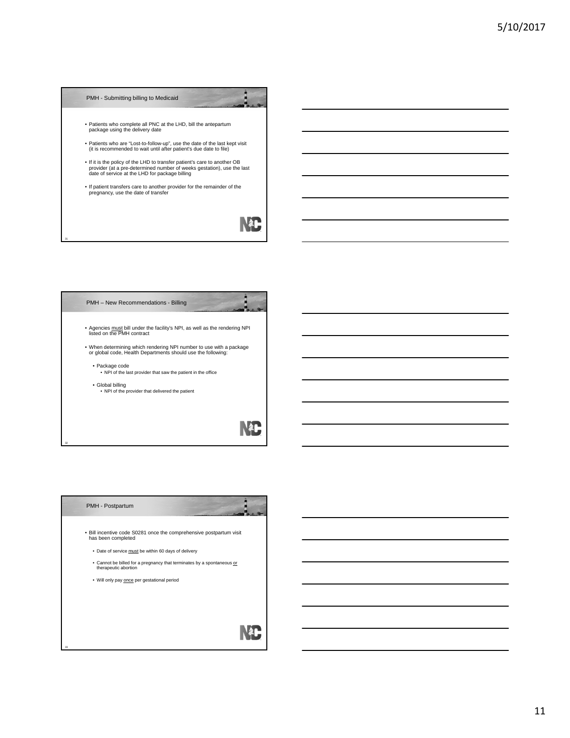# PMH - Submitting billing to Medicaid • Patients who complete all PNC at the LHD, bill the antepartum package using the delivery date • Patients who are "Lost-to-follow-up", use the date of the last kept visit (it is recommended to wait until after patient's due date to file) • If it is the policy of the LHD to transfer patient's care to another OB provider (at a pre-determined number of weeks gestation), use the last date of service at the LHD for package billing • If patient transfers care to another provider for the remainder of the pregnancy, use the date of transfer NAC

### Â PMH – New Recommendations - Billing • Agencies must bill under the facility's NPI, as well as the rendering NPI listed on the PMH contract

• When determining which rendering NPI number to use with a package or global code, Health Departments should use the following:

31

33

• Package code • NPI of the last provider that saw the patient in the office

• Global billing • NPI of the provider that delivered the patient

# Nao

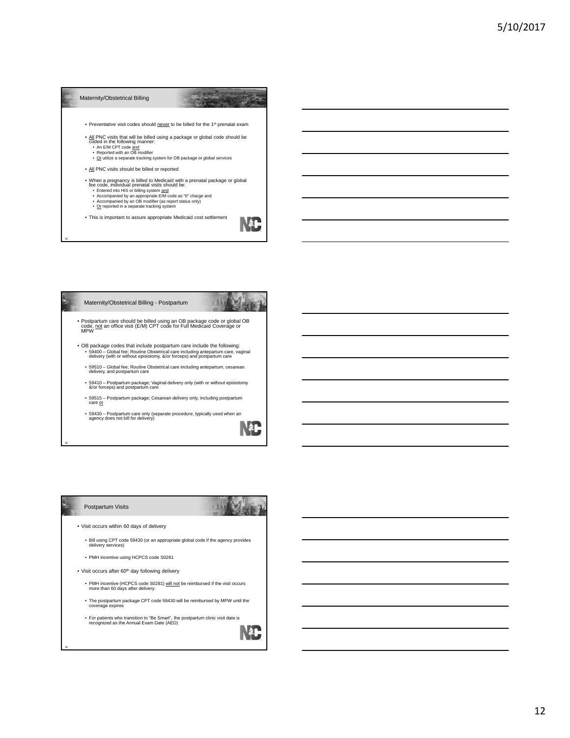



### **AL** ı

#### Postpartum Visits



- Visit occurs within 60 days of delivery
	- Bill using CPT code 59430 (or an appropriate global code if the agency provides delivery services)
	- PMH incentive using HCPCS code S0281
- $\bullet$  Visit occurs after 60<sup>th</sup> day following delivery
	- PMH incentive (HCPCS code S0281) *will not* be reimbursed if the visit occurs more than 60 days after delivery.
	- The postpartum package CPT code 59430 will be reimbursed by MPW until the coverage expires
	- For patients who transition to "Be Smart", the postpartum clinic visit date is recognized as the Annual Exam Date (AED)

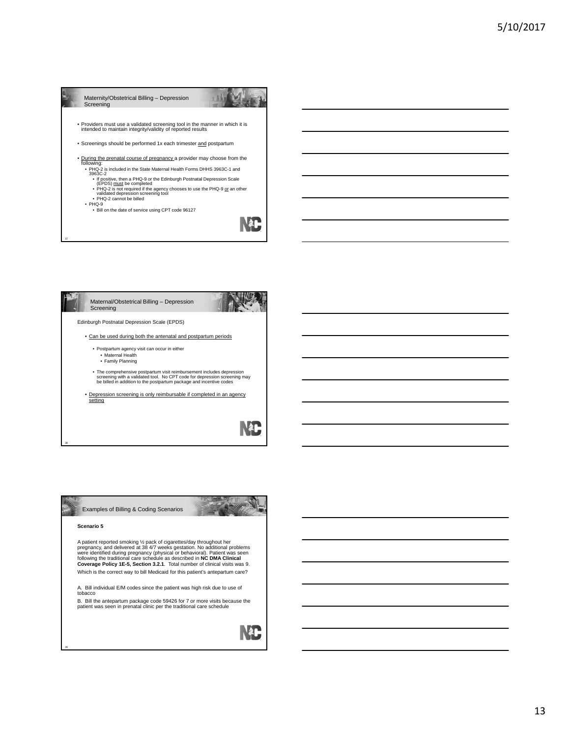



**A** 



38

39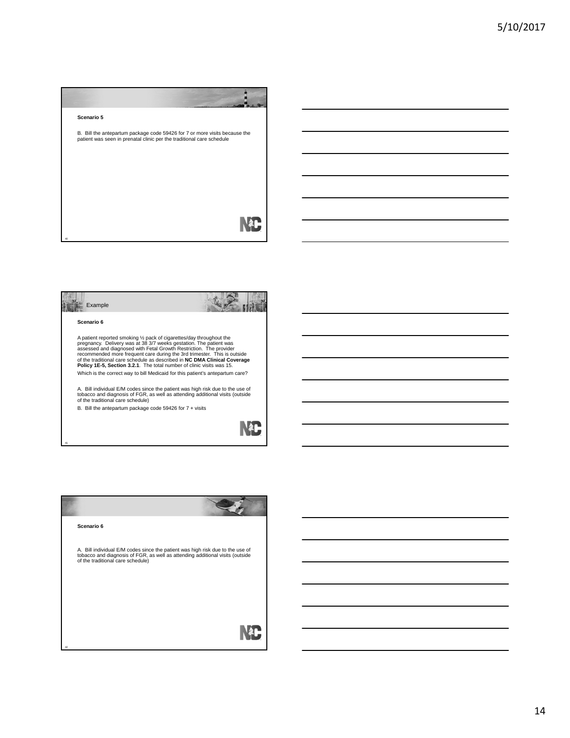



A patient reported smoking ½ pack of cigarettes/day throughout the<br>pregnancy. Delivery was at 38 3/7 weeks gestation. The patient was<br>assessed and diagnosed with Fetal Growth Restriction. The provider<br>recommended more freq Which is the correct way to bill Medicaid for this patient's antepartum care?

A. Bill individual E/M codes since the patient was high risk due to the use of tobacco and diagnosis of FGR, as well as attending additional visits (outside of the traditional care schedule)

B. Bill the antepartum package code 59426 for 7 + visits



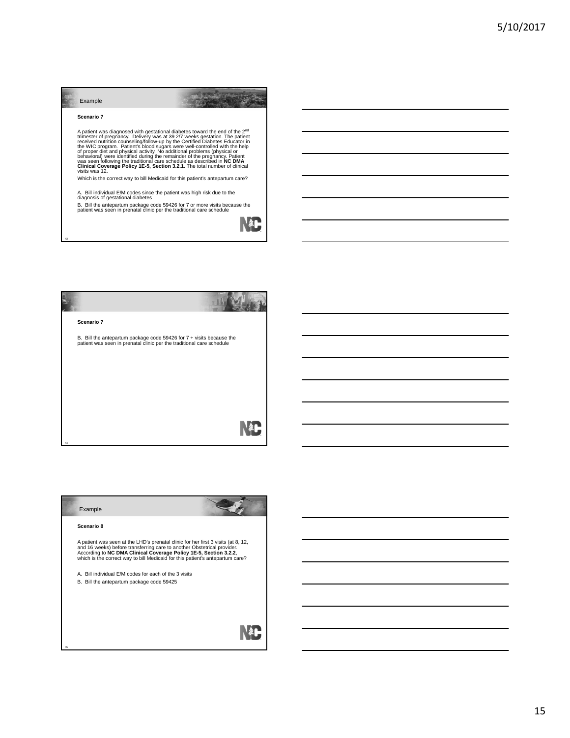

A. Bill individual E/M codes since the patient was high risk due to the<br>diagnosis of gestational diabetes<br>B. Bill the antepartum package code 59426 for 7 or more visits because the<br>patient was seen in prenatal clinic per t





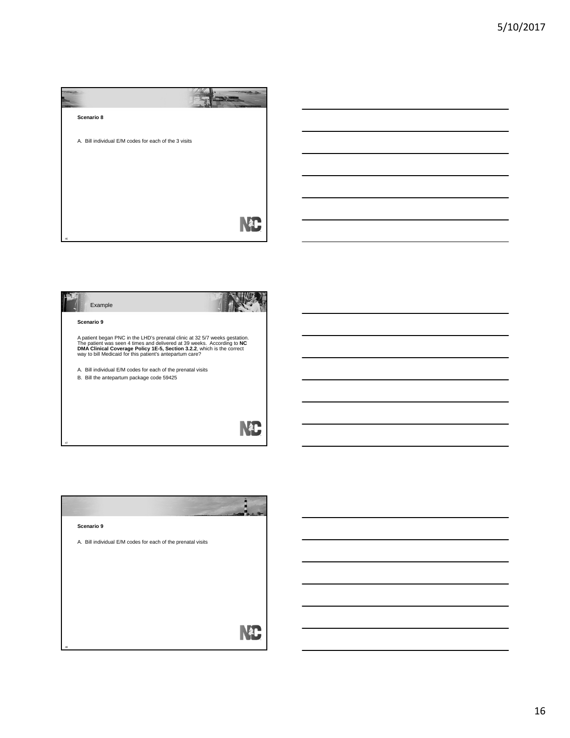| Scenario 8                                            |  |
|-------------------------------------------------------|--|
| A. Bill individual E/M codes for each of the 3 visits |  |
|                                                       |  |
|                                                       |  |
|                                                       |  |
| 46                                                    |  |



| Scenario 9                                                   |  |
|--------------------------------------------------------------|--|
| A. Bill individual E/M codes for each of the prenatal visits |  |
|                                                              |  |
|                                                              |  |
|                                                              |  |
|                                                              |  |
| 48                                                           |  |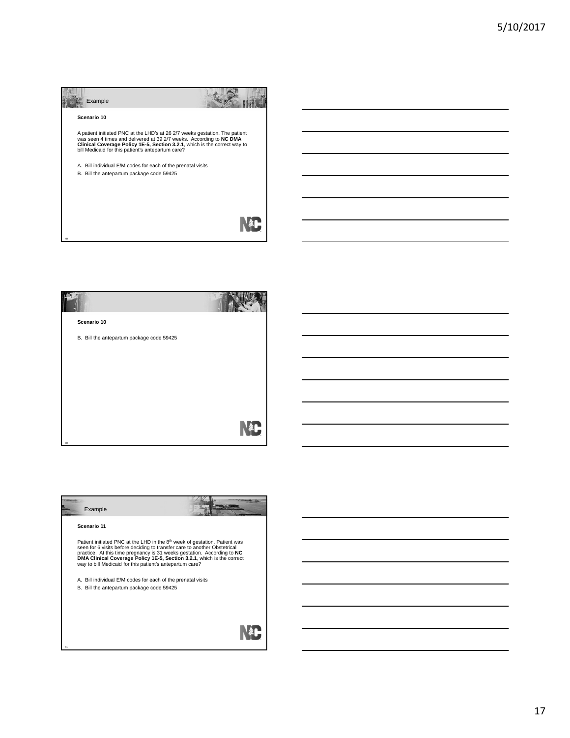| Example                                                                                                                                                                                                                                                                              |  |
|--------------------------------------------------------------------------------------------------------------------------------------------------------------------------------------------------------------------------------------------------------------------------------------|--|
| Scenario 10                                                                                                                                                                                                                                                                          |  |
| A patient initiated PNC at the LHD's at 26 2/7 weeks gestation. The patient<br>was seen 4 times and delivered at 39 2/7 weeks. According to NC DMA<br>Clinical Coverage Policy 1E-5, Section 3.2.1, which is the correct way to<br>bill Medicaid for this patient's antepartum care? |  |
| A. Bill individual E/M codes for each of the prenatal visits                                                                                                                                                                                                                         |  |
| B. Bill the antepartum package code 59425                                                                                                                                                                                                                                            |  |
|                                                                                                                                                                                                                                                                                      |  |
|                                                                                                                                                                                                                                                                                      |  |
|                                                                                                                                                                                                                                                                                      |  |



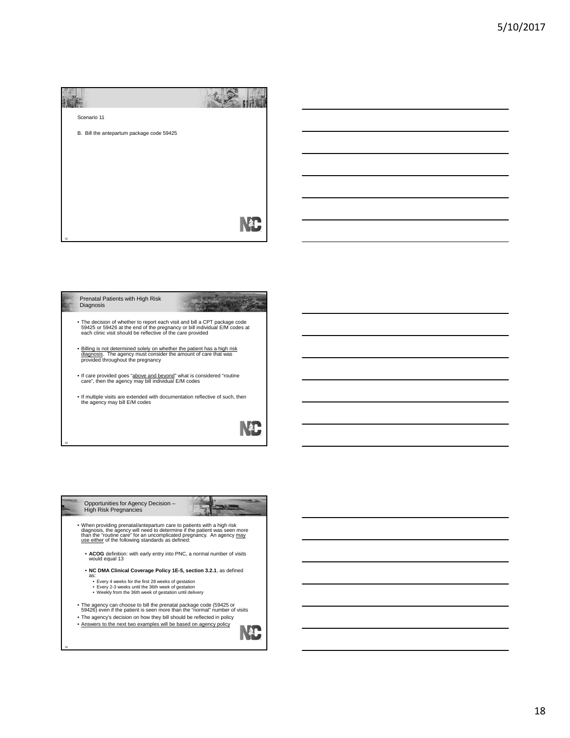| Scenario 11                               |  |
|-------------------------------------------|--|
| B. Bill the antepartum package code 59425 |  |
|                                           |  |
|                                           |  |
|                                           |  |
|                                           |  |
| 52                                        |  |







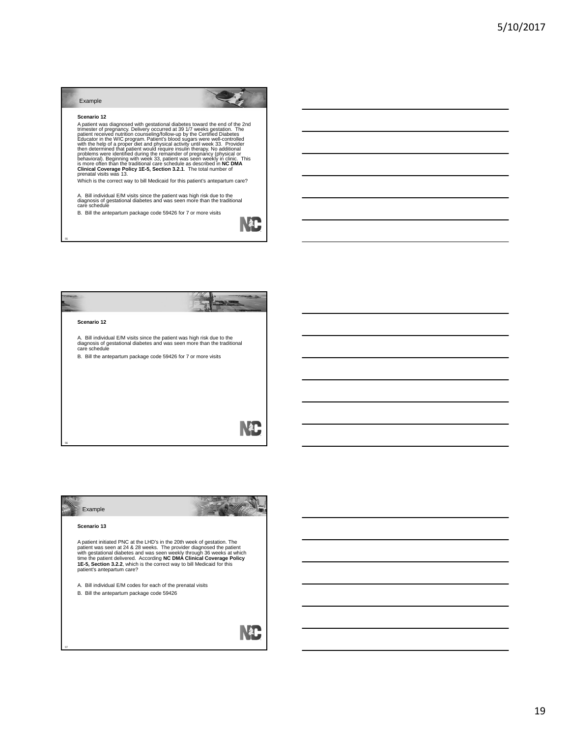## Example

Scenario 12<br>
A patient was diagnosed with gestational diabetes toward the end of the 2nd<br>
A patient was diagnosed with gestational diabetes toward the end of the 2nd<br>
patient received nutrition counseling follow-up by the

Which is the correct way to bill Medicaid for this patient's antepartum care?

A. Bill individual E/M visits since the patient was high risk due to the diagnosis of gestational diabetes and was seen more than the traditional care schedule

B. Bill the antepartum package code 59426 for 7 or more visits